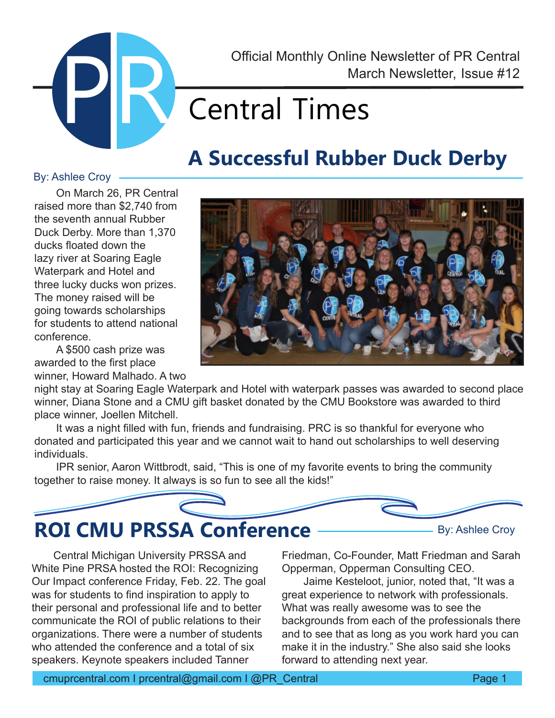

March Newsletter, Issue #12 Official Monthly Online Newsletter of PR Central

# **Central Times**

### **A Successful Rubber Duck Derby**

#### By: Ashlee Croy

On March 26, PR Central raised more than \$2,740 from the seventh annual Rubber Duck Derby. More than 1,370 ducks floated down the lazy river at Soaring Eagle Waterpark and Hotel and three lucky ducks won prizes. The money raised will be going towards scholarships for students to attend national conference.

A \$500 cash prize was awarded to the first place winner, Howard Malhado. A two



night stay at Soaring Eagle Waterpark and Hotel with waterpark passes was awarded to second place winner, Diana Stone and a CMU gift basket donated by the CMU Bookstore was awarded to third place winner, Joellen Mitchell.

It was a night filled with fun, friends and fundraising. PRC is so thankful for everyone who donated and participated this year and we cannot wait to hand out scholarships to well deserving individuals.

IPR senior, Aaron Wittbrodt, said, "This is one of my favorite events to bring the community together to raise money. It always is so fun to see all the kids!"



Central Michigan University PRSSA and White Pine PRSA hosted the ROI: Recognizing Our Impact conference Friday, Feb. 22. The goal was for students to find inspiration to apply to their personal and professional life and to better communicate the ROI of public relations to their organizations. There were a number of students who attended the conference and a total of six speakers. Keynote speakers included Tanner

Friedman, Co-Founder, Matt Friedman and Sarah Opperman, Opperman Consulting CEO.

Jaime Kesteloot, junior, noted that, "It was a great experience to network with professionals. What was really awesome was to see the backgrounds from each of the professionals there and to see that as long as you work hard you can make it in the industry." She also said she looks forward to attending next year.

cmuprcentral.com I prcentral@gmail.com I @PR\_Central Page 1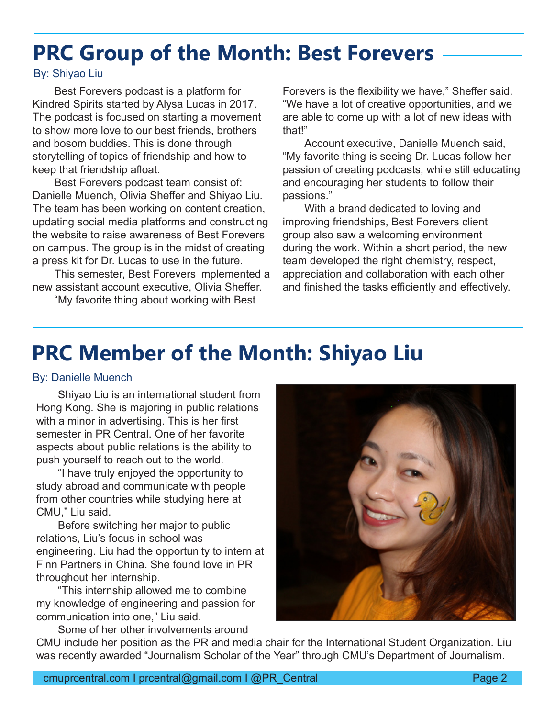### **PRC Group of the Month: Best Forevers**

#### By: Shiyao Liu

Best Forevers podcast is a platform for Kindred Spirits started by Alysa Lucas in 2017. The podcast is focused on starting a movement to show more love to our best friends, brothers and bosom buddies. This is done through storytelling of topics of friendship and how to keep that friendship afloat.

Best Forevers podcast team consist of: Danielle Muench, Olivia Sheffer and Shiyao Liu. The team has been working on content creation, updating social media platforms and constructing the website to raise awareness of Best Forevers on campus. The group is in the midst of creating a press kit for Dr. Lucas to use in the future.

This semester, Best Forevers implemented a new assistant account executive, Olivia Sheffer.

"My favorite thing about working with Best

Forevers is the flexibility we have," Sheffer said. "We have a lot of creative opportunities, and we are able to come up with a lot of new ideas with that!"

Account executive, Danielle Muench said, "My favorite thing is seeing Dr. Lucas follow her passion of creating podcasts, while still educating and encouraging her students to follow their passions."

With a brand dedicated to loving and improving friendships, Best Forevers client group also saw a welcoming environment during the work. Within a short period, the new team developed the right chemistry, respect, appreciation and collaboration with each other and finished the tasks efficiently and effectively.

#### **PRC Member of the Month: Shiyao Liu**

#### By: Danielle Muench

Shiyao Liu is an international student from Hong Kong. She is majoring in public relations with a minor in advertising. This is her first semester in PR Central. One of her favorite aspects about public relations is the ability to push yourself to reach out to the world.

"I have truly enjoyed the opportunity to study abroad and communicate with people from other countries while studying here at CMU," Liu said.

Before switching her major to public relations, Liu's focus in school was engineering. Liu had the opportunity to intern at Finn Partners in China. She found love in PR throughout her internship.

"This internship allowed me to combine my knowledge of engineering and passion for communication into one," Liu said.



Some of her other involvements around CMU include her position as the PR and media chair for the International Student Organization. Liu was recently awarded "Journalism Scholar of the Year" through CMU's Department of Journalism.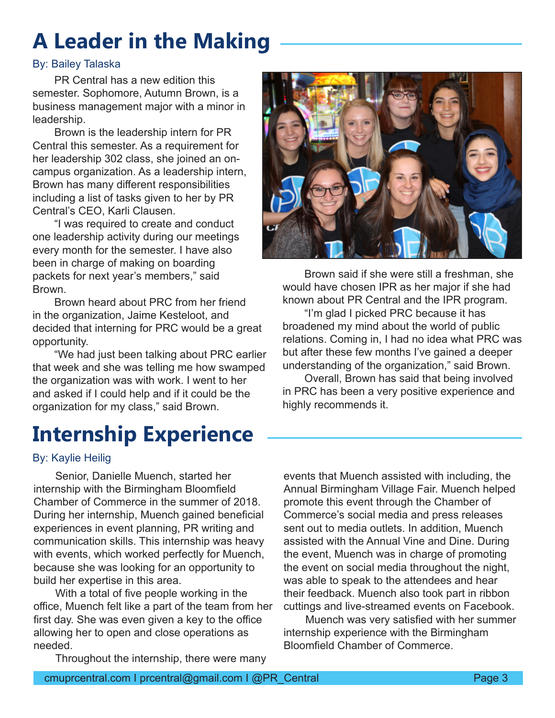### **A Leader in the Making**

#### By: Bailey Talaska

PR Central has a new edition this semester. Sophomore, Autumn Brown, is a business management major with a minor in leadership.

Brown is the leadership intern for PR Central this semester. As a requirement for her leadership 302 class, she joined an oncampus organization. As a leadership intern, Brown has many different responsibilities including a list of tasks given to her by PR Central's CEO, Karli Clausen.

"I was required to create and conduct one leadership activity during our meetings every month for the semester. I have also been in charge of making on boarding packets for next year's members," said Brown.

Brown heard about PRC from her friend in the organization, Jaime Kesteloot, and decided that interning for PRC would be a great opportunity.

"We had just been talking about PRC earlier that week and she was telling me how swamped the organization was with work. I went to her and asked if I could help and if it could be the organization for my class," said Brown.

### **Internship Experience**



Senior, Danielle Muench, started her internship with the Birmingham Bloomfield Chamber of Commerce in the summer of 2018. During her internship, Muench gained beneficial experiences in event planning, PR writing and communication skills. This internship was heavy with events, which worked perfectly for Muench, because she was looking for an opportunity to build her expertise in this area.

With a total of five people working in the office, Muench felt like a part of the team from her first day. She was even given a key to the office allowing her to open and close operations as needed.

Throughout the internship, there were many



Brown said if she were still a freshman, she would have chosen IPR as her major if she had known about PR Central and the IPR program.

"I'm glad I picked PRC because it has broadened my mind about the world of public relations. Coming in, I had no idea what PRC was but after these few months I've gained a deeper understanding of the organization," said Brown.

Overall, Brown has said that being involved in PRC has been a very positive experience and highly recommends it.

events that Muench assisted with including, the Annual Birmingham Village Fair. Muench helped promote this event through the Chamber of Commerce's social media and press releases sent out to media outlets. In addition, Muench assisted with the Annual Vine and Dine. During the event, Muench was in charge of promoting the event on social media throughout the night, was able to speak to the attendees and hear their feedback. Muench also took part in ribbon cuttings and live-streamed events on Facebook.

Muench was very satisfied with her summer internship experience with the Birmingham Bloomfield Chamber of Commerce.